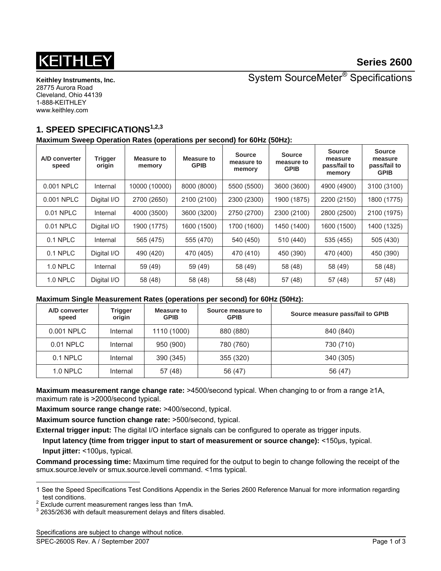# 1511

**Keithley Instruments, Inc.**  28775 Aurora Road Cleveland, Ohio 44139 1-888-KEITHLEY www.keithley.com

System SourceMeter® Specifications

## **1. SPEED SPECIFICATIONS1,2,3**

**Maximum Sweep Operation Rates (operations per second) for 60Hz (50Hz):**

| A/D converter<br>speed | <b>Trigger</b><br>origin | Measure to<br>memory | <b>Measure to</b><br><b>GPIB</b> | <b>Source</b><br>measure to<br>memory | <b>Source</b><br>measure to<br><b>GPIB</b> | <b>Source</b><br>measure<br>pass/fail to<br>memory | <b>Source</b><br>measure<br>pass/fail to<br><b>GPIB</b> |
|------------------------|--------------------------|----------------------|----------------------------------|---------------------------------------|--------------------------------------------|----------------------------------------------------|---------------------------------------------------------|
| 0.001 NPLC             | Internal                 | 10000 (10000)        | 8000 (8000)                      | 5500 (5500)                           | 3600 (3600)                                | 4900 (4900)                                        | 3100 (3100)                                             |
| 0.001 NPLC             | Digital I/O              | 2700 (2650)          | 2100 (2100)                      | 2300 (2300)                           | 1900 (1875)                                | 2200 (2150)                                        | 1800 (1775)                                             |
| 0.01 NPLC              | Internal                 | 4000 (3500)          | 3600 (3200)                      | 2750 (2700)                           | 2300 (2100)                                | 2800 (2500)                                        | 2100 (1975)                                             |
| 0.01 NPLC              | Digital I/O              | 1900 (1775)          | 1600 (1500)                      | 1700 (1600)                           | 1450 (1400)                                | 1600 (1500)                                        | 1400 (1325)                                             |
| 0.1 NPLC               | Internal                 | 565 (475)            | 555 (470)                        | 540 (450)                             | 510 (440)                                  | 535 (455)                                          | 505 (430)                                               |
| 0.1 NPLC               | Digital I/O              | 490 (420)            | 470 (405)                        | 470 (410)                             | 450 (390)                                  | 470 (400)                                          | 450 (390)                                               |
| <b>1.0 NPLC</b>        | Internal                 | 59 (49)              | 59 (49)                          | 58 (49)                               | 58 (48)                                    | 58 (49)                                            | 58 (48)                                                 |
| <b>1.0 NPLC</b>        | Digital I/O              | 58 (48)              | 58 (48)                          | 58 (48)                               | 57 (48)                                    | 57 (48)                                            | 57 (48)                                                 |

#### **Maximum Single Measurement Rates (operations per second) for 60Hz (50Hz):**

| A/D converter<br>speed | <b>Trigger</b><br>origin | Measure to<br><b>GPIB</b> | Source measure to<br><b>GPIB</b> | Source measure pass/fail to GPIB |
|------------------------|--------------------------|---------------------------|----------------------------------|----------------------------------|
| 0.001 NPLC             | Internal                 | 1110 (1000)               | 880 (880)                        | 840 (840)                        |
| 0.01 NPLC              | Internal                 | 950 (900)                 | 780 (760)                        | 730 (710)                        |
| 0.1 NPLC               | Internal                 | 390 (345)                 | 355 (320)                        | 340 (305)                        |
| $1.0$ NPLC             | Internal                 | 57 (48)                   | 56 (47)                          | 56 (47)                          |

**Maximum measurement range change rate:** >4500/second typical. When changing to or from a range ≥1A, maximum rate is >2000/second typical.

**Maximum source range change rate:** >400/second, typical.

**Maximum source function change rate:** >500/second, typical.

**External trigger input:** The digital I/O interface signals can be configured to operate as trigger inputs.

**Input latency (time from trigger input to start of measurement or source change):** <150μs, typical. **Input jitter:** <100μs, typical.

**Command processing time:** Maximum time required for the output to begin to change following the receipt of the smux.source.levelv or smux.source.leveli command. <1ms typical.

Specifications are subject to change without notice.

l 1 See the Speed Specifications Test Conditions Appendix in the Series 2600 Reference Manual for more information regarding test conditions.<br><sup>2</sup> Exclude current measurement ranges less than 1mA.

 $3$  2635/2636 with default measurement delays and filters disabled.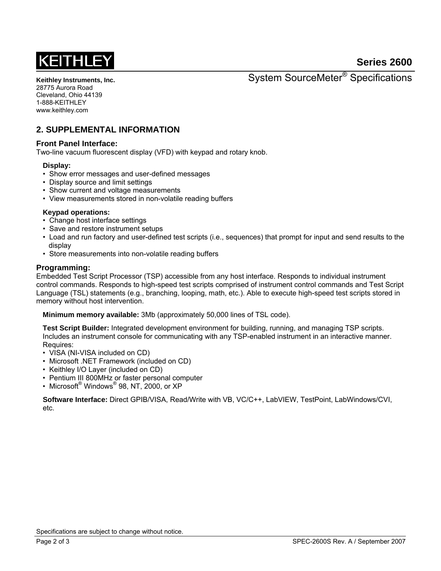# **Series 2600**



**Keithley Instruments, Inc.**  28775 Aurora Road Cleveland, Ohio 44139 1-888-KEITHLEY www.keithley.com

System SourceMeter® Specifications

### **2. SUPPLEMENTAL INFORMATION**

#### **Front Panel Interface:**

Two-line vacuum fluorescent display (VFD) with keypad and rotary knob.

#### **Display:**

- Show error messages and user-defined messages
- Display source and limit settings
- Show current and voltage measurements
- View measurements stored in non-volatile reading buffers

#### **Keypad operations:**

- Change host interface settings
- Save and restore instrument setups
- Load and run factory and user-defined test scripts (i.e., sequences) that prompt for input and send results to the display
- Store measurements into non-volatile reading buffers

#### **Programming:**

Embedded Test Script Processor (TSP) accessible from any host interface. Responds to individual instrument control commands. Responds to high-speed test scripts comprised of instrument control commands and Test Script Language (TSL) statements (e.g., branching, looping, math, etc.). Able to execute high-speed test scripts stored in memory without host intervention.

**Minimum memory available:** 3Mb (approximately 50,000 lines of TSL code).

**Test Script Builder:** Integrated development environment for building, running, and managing TSP scripts. Includes an instrument console for communicating with any TSP-enabled instrument in an interactive manner. Requires:

- VISA (NI-VISA included on CD)
- Microsoft .NET Framework (included on CD)
- Keithley I/O Layer (included on CD)
- Pentium III 800MHz or faster personal computer
- $\bullet \;$  Microsoft $^\circledast$  Windows $^\circledast$  98, NT, 2000, or XP

**Software Interface:** Direct GPIB/VISA, Read/Write with VB, VC/C++, LabVIEW, TestPoint, LabWindows/CVI, etc.